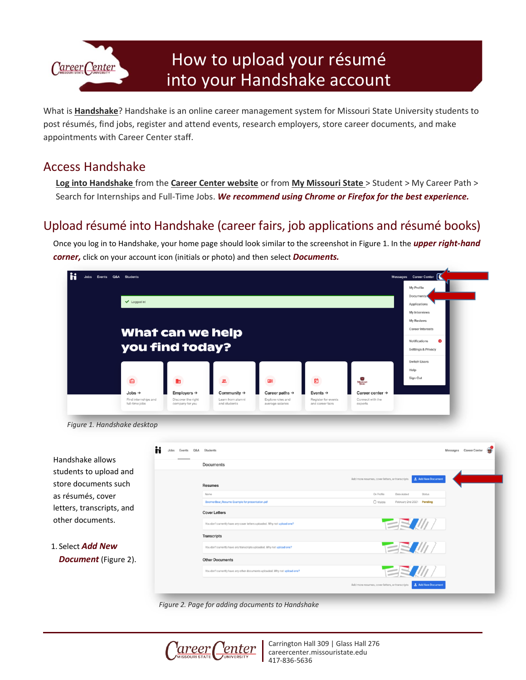

# How to upload your résumé into your Handshake account

What is **[Handshake](https://careercenter.missouristate.edu/Students/handshake.htm)**? Handshake is an online career management system for Missouri State University students to post résumés, find jobs, register and attend events, research employers, store career documents, and make appointments with Career Center staff.

## Access Handshake

**[Log into Handshake](https://missouristate.joinhandshake.com/login)** from the **[Career Center website](https://careercenter.missouristate.edu/)** or from **[My Missouri State](https://my.missouristate.edu/)** > Student > My Career Path > Search for Internships and Full-Time Jobs. *We recommend using Chrome or Firefox for the best experience.*

# Upload résumé into Handshake (career fairs, job applications and résumé books)

Once you log in to Handshake, your home page should look similar to the screenshot in Figure 1. In the *upper right-hand corner,* click on your account icon (initials or photo) and then select *Documents.*





*Figure 2. Page for adding documents to Handshake*



Carrington Hall 309 | Glass Hall 276 careercenter.missouristate.edu 417-836-5636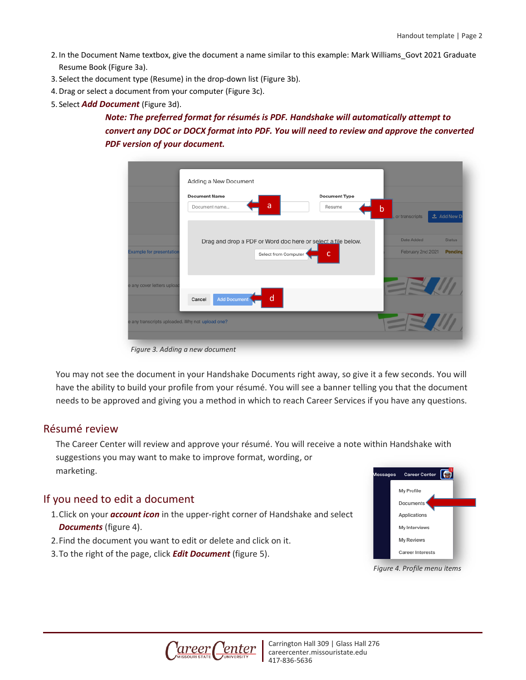- 2. In the Document Name textbox, give the document a name similar to this example: Mark Williams\_Govt 2021 Graduate Resume Book (Figure 3a).
- 3. Select the document type (Resume) in the drop-down list (Figure 3b).
- 4.Drag or select a document from your computer (Figure 3c).
- 5. Select *Add Document* (Figure 3d).

## *Note: The preferred format for résumés is PDF. Handshake will automatically attempt to convert any DOC or DOCX format into PDF. You will need to review and approve the converted PDF version of your document.*

|                                 | <b>Document Name</b><br>a                                    | <b>Document Type</b> |                                 |                     |
|---------------------------------|--------------------------------------------------------------|----------------------|---------------------------------|---------------------|
|                                 | Document name                                                | Resume               | $\mathsf b$<br>, or transcripts | <b>主 Add New Do</b> |
|                                 | Drag and drop a PDF or Word doc here or select a file below. |                      | Date Added                      | <b>Status</b>       |
| <b>Example for presentation</b> | Select from Computer                                         | c                    | February 2nd 2021               | Pending             |
| e any cover letters upload      |                                                              |                      |                                 |                     |
|                                 | d<br>Add Document<br>Cancel                                  |                      |                                 |                     |

*Figure 3. Adding a new document*

You may not see the document in your Handshake Documents right away, so give it a few seconds. You will have the ability to build your profile from your résumé. You will see a banner telling you that the document needs to be approved and giving you a method in which to reach Career Services if you have any questions.

### Résumé review

The Career Center will review and approve your résumé. You will receive a note within Handshake with suggestions you may want to make to improve format, wording, or marketing.

### If you need to edit a document

- 1.Click on your *account icon* in the upper-right corner of Handshake and select *Documents* (figure 4).
- 2.Find the document you want to edit or delete and click on it.
- 3.To the right of the page, click *Edit Document* (figure 5).



*Figure 4. Profile menu items*